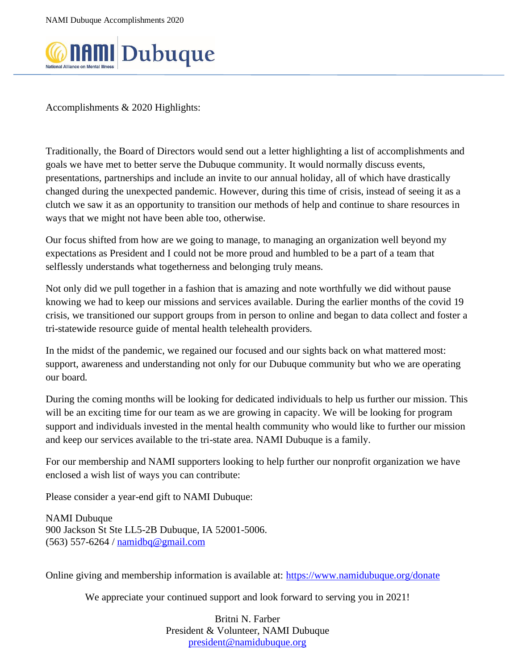

Accomplishments & 2020 Highlights:

Traditionally, the Board of Directors would send out a letter highlighting a list of accomplishments and goals we have met to better serve the Dubuque community. It would normally discuss events, presentations, partnerships and include an invite to our annual holiday, all of which have drastically changed during the unexpected pandemic. However, during this time of crisis, instead of seeing it as a clutch we saw it as an opportunity to transition our methods of help and continue to share resources in ways that we might not have been able too, otherwise.

Our focus shifted from how are we going to manage, to managing an organization well beyond my expectations as President and I could not be more proud and humbled to be a part of a team that selflessly understands what togetherness and belonging truly means.

Not only did we pull together in a fashion that is amazing and note worthfully we did without pause knowing we had to keep our missions and services available. During the earlier months of the covid 19 crisis, we transitioned our support groups from in person to online and began to data collect and foster a tri-statewide resource guide of mental health telehealth providers.

In the midst of the pandemic, we regained our focused and our sights back on what mattered most: support, awareness and understanding not only for our Dubuque community but who we are operating our board.

During the coming months will be looking for dedicated individuals to help us further our mission. This will be an exciting time for our team as we are growing in capacity. We will be looking for program support and individuals invested in the mental health community who would like to further our mission and keep our services available to the tri-state area. NAMI Dubuque is a family.

For our membership and NAMI supporters looking to help further our nonprofit organization we have enclosed a wish list of ways you can contribute:

Please consider a year-end gift to NAMI Dubuque:

NAMI Dubuque 900 Jackson St Ste LL5-2B Dubuque, IA 52001-5006. (563) 557-6264 / [namidbq@gmail.com](mailto:namidbq@gmail.com)

Online giving and membership information is available at:<https://www.namidubuque.org/donate>

We appreciate your continued support and look forward to serving you in 2021!

Britni N. Farber President & Volunteer, NAMI Dubuque [president@namidubuque.org](mailto:president@namidubuque.org)